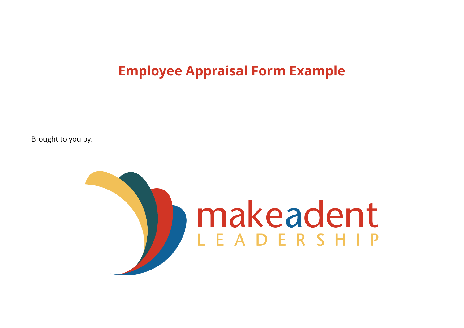**Employee Appraisal Form Example** 

Brought to you by:

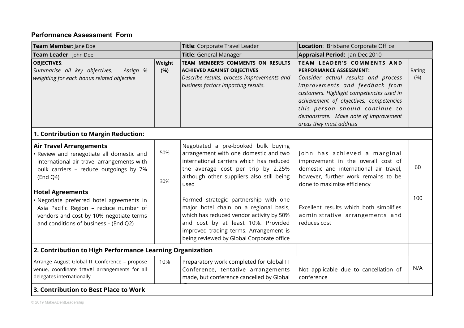## **Performance Assessment Form**

| Team Member: Jane Doe<br>Team Leader: John Doe                                                                                                                                                                                                                                                                                                                                        |            | Title: Corporate Travel Leader                                                                                                                                                                                                                                                                                                                                                                                                                                                  | Location: Brisbane Corporate Office                                                                                                                                                                                                                                                                                                 |                |
|---------------------------------------------------------------------------------------------------------------------------------------------------------------------------------------------------------------------------------------------------------------------------------------------------------------------------------------------------------------------------------------|------------|---------------------------------------------------------------------------------------------------------------------------------------------------------------------------------------------------------------------------------------------------------------------------------------------------------------------------------------------------------------------------------------------------------------------------------------------------------------------------------|-------------------------------------------------------------------------------------------------------------------------------------------------------------------------------------------------------------------------------------------------------------------------------------------------------------------------------------|----------------|
|                                                                                                                                                                                                                                                                                                                                                                                       |            | Title: General Manager                                                                                                                                                                                                                                                                                                                                                                                                                                                          | Appraisal Period: Jan-Dec 2010                                                                                                                                                                                                                                                                                                      |                |
| <b>OBJECTIVES:</b><br>Weight<br>Summarise all key objectives.<br>(%)<br>Assign %<br>weighting for each bonus related objective                                                                                                                                                                                                                                                        |            | TEAM MEMBER'S COMMENTS ON RESULTS<br><b>ACHIEVED AGAINST OBJECTIVES</b><br>Describe results, process improvements and<br>business factors impacting results.                                                                                                                                                                                                                                                                                                                    | TEAM LEADER'S COMMENTS AND<br><b>PERFORMANCE ASSESSMENT:</b><br>Consider actual results and process<br>improvements and feedback from<br>customers. Highlight competencies used in<br>achievement of objectives, competencies<br>this person should continue to<br>demonstrate. Make note of improvement<br>areas they must address | Rating<br>(% ) |
| 1. Contribution to Margin Reduction:                                                                                                                                                                                                                                                                                                                                                  |            |                                                                                                                                                                                                                                                                                                                                                                                                                                                                                 |                                                                                                                                                                                                                                                                                                                                     |                |
| <b>Air Travel Arrangements</b><br>· Review and renegotiate all domestic and<br>international air travel arrangements with<br>bulk carriers - reduce outgoings by 7%<br>(End Q4)<br><b>Hotel Agreements</b><br>· Negotiate preferred hotel agreements in<br>Asia Pacific Region - reduce number of<br>vendors and cost by 10% negotiate terms<br>and conditions of business - (End Q2) | 50%<br>30% | Negotiated a pre-booked bulk buying<br>arrangement with one domestic and two<br>international carriers which has reduced<br>the average cost per trip by 2.25%<br>although other suppliers also still being<br>used<br>Formed strategic partnership with one<br>major hotel chain on a regional basis,<br>which has reduced vendor activity by 50%<br>and cost by at least 10%. Provided<br>improved trading terms. Arrangement is<br>being reviewed by Global Corporate office | John has achieved a marginal<br>improvement in the overall cost of<br>domestic and international air travel,<br>however, further work remains to be<br>done to maximise efficiency<br>Excellent results which both simplifies<br>administrative arrangements and<br>reduces cost                                                    | 60<br>100      |
| 2. Contribution to High Performance Learning Organization                                                                                                                                                                                                                                                                                                                             |            |                                                                                                                                                                                                                                                                                                                                                                                                                                                                                 |                                                                                                                                                                                                                                                                                                                                     |                |
| Arrange August Global IT Conference - propose<br>venue, coordinate travel arrangements for all<br>delegates internationally                                                                                                                                                                                                                                                           | 10%        | Preparatory work completed for Global IT<br>Conference, tentative arrangements<br>made, but conference cancelled by Global                                                                                                                                                                                                                                                                                                                                                      | Not applicable due to cancellation of<br>conference                                                                                                                                                                                                                                                                                 | N/A            |
| 3. Contribution to Best Place to Work                                                                                                                                                                                                                                                                                                                                                 |            |                                                                                                                                                                                                                                                                                                                                                                                                                                                                                 |                                                                                                                                                                                                                                                                                                                                     |                |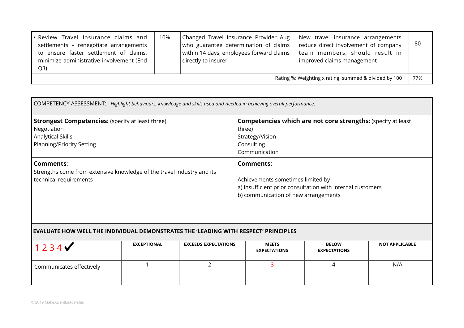| • Review Travel Insurance claims and<br>settlements - renegotiate arrangements<br>to ensure faster settlement of claims,<br>minimize administrative involvement (End<br>Q3) | 10% | Changed Travel Insurance Provider Aug<br>who guarantee determination of claims<br>within 14 days, employees forward claims<br>directly to insurer | New travel insurance arrangements<br>reduce direct involvement of company<br>team members, should result in<br>improved claims management | -80 |
|-----------------------------------------------------------------------------------------------------------------------------------------------------------------------------|-----|---------------------------------------------------------------------------------------------------------------------------------------------------|-------------------------------------------------------------------------------------------------------------------------------------------|-----|
| 77%<br>Rating %: Weighting x rating, summed & divided by 100                                                                                                                |     |                                                                                                                                                   |                                                                                                                                           |     |

| COMPETENCY ASSESSMENT: Highlight behaviours, knowledge and skills used and needed in achieving overall performance.             |                                                                                                                                                             |  |  |
|---------------------------------------------------------------------------------------------------------------------------------|-------------------------------------------------------------------------------------------------------------------------------------------------------------|--|--|
| <b>Strongest Competencies:</b> (specify at least three)<br>Negotiation<br><b>Analytical Skills</b><br>Planning/Priority Setting | <b>Competencies which are not core strengths: (specify at least)</b><br>three)<br>Strategy/Vision<br>Consulting<br>Communication                            |  |  |
| Comments:<br>Strengths come from extensive knowledge of the travel industry and its<br>technical requirements                   | <b>Comments:</b><br>Achievements sometimes limited by<br>a) insufficient prior consultation with internal customers<br>b) communication of new arrangements |  |  |

## **EVALUATE HOW WELL THE INDIVIDUAL DEMONSTRATES THE 'LEADING WITH RESPECT' PRINCIPLES**

| 1234                     | EXCEPTIONAL | <b>EXCEEDS EXPECTATIONS</b> | <b>MEETS</b><br><b>EXPECTATIONS</b> | <b>BELOW</b><br><b>EXPECTATIONS</b> | <b>NOT APPLICABLE</b> |
|--------------------------|-------------|-----------------------------|-------------------------------------|-------------------------------------|-----------------------|
| Communicates effectively |             |                             |                                     | ↵                                   | N/A                   |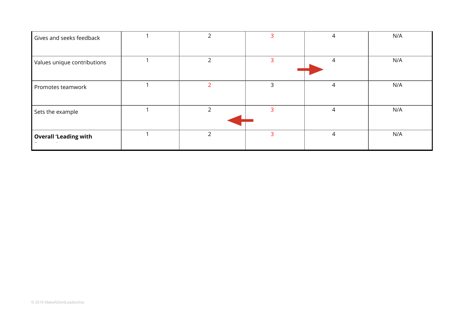| Gives and seeks feedback     |    | 3 |   | N/A |
|------------------------------|----|---|---|-----|
| Values unique contributions  | っ  | 3 | 4 | N/A |
| Promotes teamwork            |    | 3 | 4 | N/A |
| Sets the example             | C. | 3 | 4 | N/A |
| <b>Overall 'Leading with</b> | ົາ | 3 | 4 | N/A |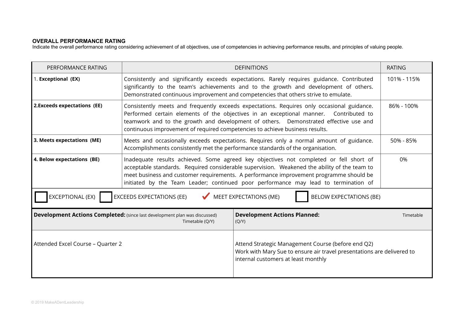## **OVERALL PERFORMANCE RATING**

Indicate the overall performance rating considering achievement of all objectives, use of competencies in achieving performance results, and principles of valuing people.

| PERFORMANCE RATING                                                                                                      |                                                                                                                                                                                                                                                                                                                                                                               | <b>DEFINITIONS</b>                                                                                                                                                  | <b>RATING</b> |  |
|-------------------------------------------------------------------------------------------------------------------------|-------------------------------------------------------------------------------------------------------------------------------------------------------------------------------------------------------------------------------------------------------------------------------------------------------------------------------------------------------------------------------|---------------------------------------------------------------------------------------------------------------------------------------------------------------------|---------------|--|
| 1. Exceptional (EX)                                                                                                     | Consistently and significantly exceeds expectations. Rarely requires guidance. Contributed<br>significantly to the team's achievements and to the growth and development of others.<br>Demonstrated continuous improvement and competencies that others strive to emulate.                                                                                                    | 101% - 115%                                                                                                                                                         |               |  |
| 2. Exceeds expectations (EE)                                                                                            | Consistently meets and frequently exceeds expectations. Requires only occasional guidance.<br>86% - 100%<br>Performed certain elements of the objectives in an exceptional manner. Contributed to<br>teamwork and to the growth and development of others. Demonstrated effective use and<br>continuous improvement of required competencies to achieve business results.     |                                                                                                                                                                     |               |  |
| 3. Meets expectations (ME)                                                                                              | Meets and occasionally exceeds expectations. Requires only a normal amount of guidance.<br>50% - 85%<br>Accomplishments consistently met the performance standards of the organisation.                                                                                                                                                                                       |                                                                                                                                                                     |               |  |
| 4. Below expectations (BE)                                                                                              | Inadequate results achieved. Some agreed key objectives not completed or fell short of<br>0%<br>acceptable standards. Required considerable supervision. Weakened the ability of the team to<br>meet business and customer requirements. A performance improvement programme should be<br>initiated by the Team Leader; continued poor performance may lead to termination of |                                                                                                                                                                     |               |  |
| EXCEPTIONAL (EX)<br><b>MEET EXPECTATIONS (ME)</b><br><b>EXCEEDS EXPECTATIONS (EE)</b><br><b>BELOW EXPECTATIONS (BE)</b> |                                                                                                                                                                                                                                                                                                                                                                               |                                                                                                                                                                     |               |  |
|                                                                                                                         | Development Actions Completed: (since last development plan was discussed)<br>Timetable (Q/Y)                                                                                                                                                                                                                                                                                 | <b>Development Actions Planned:</b><br>(Q/Y)                                                                                                                        | Timetable     |  |
| Attended Excel Course - Quarter 2                                                                                       |                                                                                                                                                                                                                                                                                                                                                                               | Attend Strategic Management Course (before end Q2)<br>Work with Mary Sue to ensure air travel presentations are delivered to<br>internal customers at least monthly |               |  |